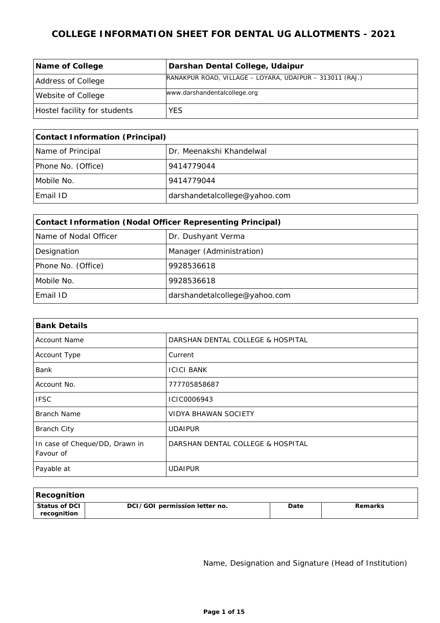| Name of College              | Darshan Dental College, Udaipur                          |
|------------------------------|----------------------------------------------------------|
| Address of College           | RANAKPUR ROAD, VILLAGE - LOYARA, UDAIPUR - 313011 (RAJ.) |
| Website of College           | www.darshandentalcollege.org                             |
| Hostel facility for students | YES                                                      |

| Contact Information (Principal) |                               |  |
|---------------------------------|-------------------------------|--|
| Name of Principal               | Dr. Meenakshi Khandelwal      |  |
| Phone No. (Office)              | 9414779044                    |  |
| Mobile No.                      | 9414779044                    |  |
| Email ID                        | darshandetalcollege@yahoo.com |  |

| Contact Information (Nodal Officer Representing Principal) |                               |  |
|------------------------------------------------------------|-------------------------------|--|
| Name of Nodal Officer                                      | Dr. Dushyant Verma            |  |
| Designation                                                | Manager (Administration)      |  |
| Phone No. (Office)                                         | 9928536618                    |  |
| Mobile No.                                                 | 9928536618                    |  |
| Email ID                                                   | darshandetalcollege@yahoo.com |  |

| <b>Bank Details</b>                         |                                   |  |
|---------------------------------------------|-----------------------------------|--|
| <b>Account Name</b>                         | DARSHAN DENTAL COLLEGE & HOSPITAL |  |
| Account Type                                | Current                           |  |
| <b>Bank</b>                                 | <b>ICICI BANK</b>                 |  |
| Account No.                                 | 777705858687                      |  |
| <b>IFSC</b>                                 | ICIC0006943                       |  |
| Branch Name                                 | VIDYA BHAWAN SOCIETY              |  |
| <b>Branch City</b>                          | <b>UDAIPUR</b>                    |  |
| In case of Cheque/DD, Drawn in<br>Favour of | DARSHAN DENTAL COLLEGE & HOSPITAL |  |
| Payable at                                  | <b>UDAIPUR</b>                    |  |

| Recognition                    |                               |      |         |
|--------------------------------|-------------------------------|------|---------|
| l Status of DCI<br>recognition | DCI/GOI permission letter no. | Date | Remarks |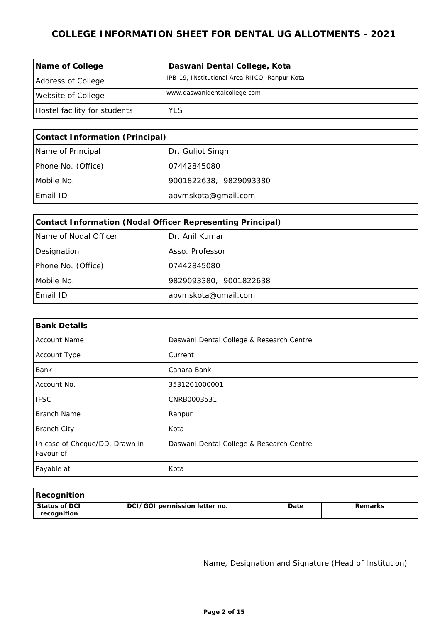| Name of College              | Daswani Dental College, Kota                  |
|------------------------------|-----------------------------------------------|
| Address of College           | IPB-19, INstitutional Area RIICO, Ranpur Kota |
| Website of College           | www.daswanidentalcollege.com                  |
| Hostel facility for students | YES.                                          |

| Contact Information (Principal) |                        |  |
|---------------------------------|------------------------|--|
| Name of Principal               | Dr. Guljot Singh       |  |
| Phone No. (Office)              | 07442845080            |  |
| Mobile No.                      | 9001822638, 9829093380 |  |
| Email ID                        | apvmskota@gmail.com    |  |

| Contact Information (Nodal Officer Representing Principal) |                        |  |
|------------------------------------------------------------|------------------------|--|
| Name of Nodal Officer                                      | Dr. Anil Kumar         |  |
| Designation                                                | Asso. Professor        |  |
| Phone No. (Office)                                         | 07442845080            |  |
| Mobile No.                                                 | 9829093380, 9001822638 |  |
| Email ID                                                   | apvmskota@gmail.com    |  |

| <b>Bank Details</b>                         |                                          |  |
|---------------------------------------------|------------------------------------------|--|
| <b>Account Name</b>                         | Daswani Dental College & Research Centre |  |
| Account Type                                | Current                                  |  |
| <b>Bank</b>                                 | Canara Bank                              |  |
| Account No.                                 | 3531201000001                            |  |
| <b>IFSC</b>                                 | CNRB0003531                              |  |
| <b>Branch Name</b>                          | Ranpur                                   |  |
| <b>Branch City</b>                          | Kota                                     |  |
| In case of Cheque/DD, Drawn in<br>Favour of | Daswani Dental College & Research Centre |  |
| Payable at                                  | Kota                                     |  |

| Recognition                  |                               |      |         |
|------------------------------|-------------------------------|------|---------|
| Status of DCI<br>recognition | DCI/GOI permission letter no. | Date | Remarks |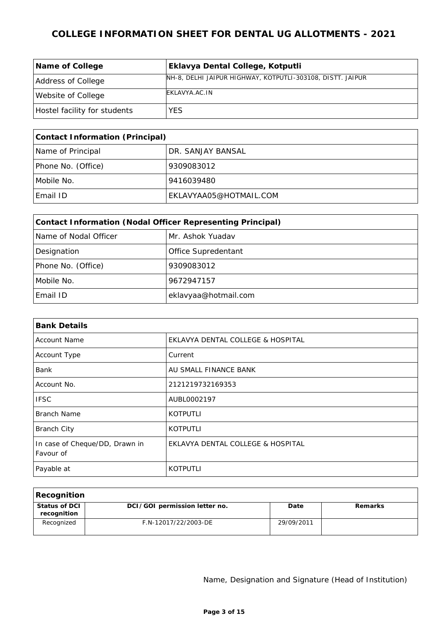| Name of College              | Eklavya Dental College, Kotputli                           |
|------------------------------|------------------------------------------------------------|
| Address of College           | NH-8, DELHI JAIPUR HIGHWAY, KOTPUTLI-303108, DISTT. JAIPUR |
| Website of College           | EKLAVYA.AC.IN                                              |
| Hostel facility for students | <b>YES</b>                                                 |

| Contact Information (Principal) |                        |  |
|---------------------------------|------------------------|--|
| Name of Principal               | DR. SANJAY BANSAL      |  |
| Phone No. (Office)              | 9309083012             |  |
| Mobile No.                      | 9416039480             |  |
| Email ID                        | EKLAVYAA05@HOTMAIL.COM |  |

| Contact Information (Nodal Officer Representing Principal) |                      |  |
|------------------------------------------------------------|----------------------|--|
| Name of Nodal Officer                                      | Mr. Ashok Yuadav     |  |
| Designation                                                | Office Supredentant  |  |
| Phone No. (Office)                                         | 9309083012           |  |
| Mobile No.                                                 | 9672947157           |  |
| Email ID                                                   | eklavyaa@hotmail.com |  |

| <b>Bank Details</b>                         |                                   |  |
|---------------------------------------------|-----------------------------------|--|
| <b>Account Name</b>                         | EKLAVYA DENTAL COLLEGE & HOSPITAL |  |
| Account Type                                | Current                           |  |
| Bank                                        | AU SMALL FINANCE BANK             |  |
| Account No.                                 | 2121219732169353                  |  |
| <b>IFSC</b>                                 | AUBL0002197                       |  |
| Branch Name                                 | <b>KOTPUTLI</b>                   |  |
| <b>Branch City</b>                          | <b>KOTPUTLI</b>                   |  |
| In case of Cheque/DD, Drawn in<br>Favour of | EKLAVYA DENTAL COLLEGE & HOSPITAL |  |
| Payable at                                  | <b>KOTPUTLI</b>                   |  |

| Recognition                    |                               |            |         |
|--------------------------------|-------------------------------|------------|---------|
| ' Status of DCI<br>recognition | DCI/GOI permission letter no. | Date       | Remarks |
| Recognized                     | F.N-12017/22/2003-DE          | 29/09/2011 |         |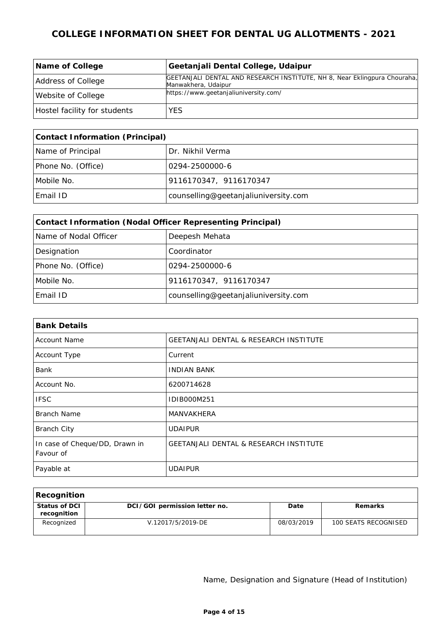| Name of College              | Geetanjali Dental College, Udaipur                                                               |
|------------------------------|--------------------------------------------------------------------------------------------------|
| Address of College           | GEETANJALI DENTAL AND RESEARCH INSTITUTE, NH 8, Near Eklingpura Chouraha,<br>Manwakhera, Udaipur |
| Website of College           | https://www.geetanjaliuniversity.com/                                                            |
| Hostel facility for students | YES.                                                                                             |

| Contact Information (Principal) |                                      |  |
|---------------------------------|--------------------------------------|--|
| Name of Principal               | Dr. Nikhil Verma                     |  |
| Phone No. (Office)              | 10294-2500000-6                      |  |
| Mobile No.                      | 9116170347, 9116170347               |  |
| Email ID                        | counselling@geetanjaliuniversity.com |  |

| Contact Information (Nodal Officer Representing Principal) |                                      |  |
|------------------------------------------------------------|--------------------------------------|--|
| Name of Nodal Officer                                      | Deepesh Mehata                       |  |
| Designation                                                | Coordinator                          |  |
| Phone No. (Office)                                         | 0294-2500000-6                       |  |
| Mobile No.                                                 | 9116170347, 9116170347               |  |
| Email ID                                                   | counselling@geetanjaliuniversity.com |  |

| <b>Bank Details</b>                         |                                                   |  |
|---------------------------------------------|---------------------------------------------------|--|
| <b>Account Name</b>                         | <b>GEETANJALI DENTAL &amp; RESEARCH INSTITUTE</b> |  |
| Account Type                                | Current                                           |  |
| Bank                                        | <b>INDIAN BANK</b>                                |  |
| Account No.                                 | 6200714628                                        |  |
| <b>IFSC</b>                                 | IDIB000M251                                       |  |
| Branch Name                                 | MANVAKHERA                                        |  |
| <b>Branch City</b>                          | <b>UDAIPUR</b>                                    |  |
| In case of Cheque/DD, Drawn in<br>Favour of | <b>GEETANJALI DENTAL &amp; RESEARCH INSTITUTE</b> |  |
| Payable at                                  | <b>UDAIPUR</b>                                    |  |

| Recognition                  |                               |            |                      |
|------------------------------|-------------------------------|------------|----------------------|
| Status of DCI<br>recognition | DCI/GOI permission letter no. | Date       | <b>Remarks</b>       |
| Recognized                   | V.12017/5/2019-DE             | 08/03/2019 | 100 SEATS RECOGNISED |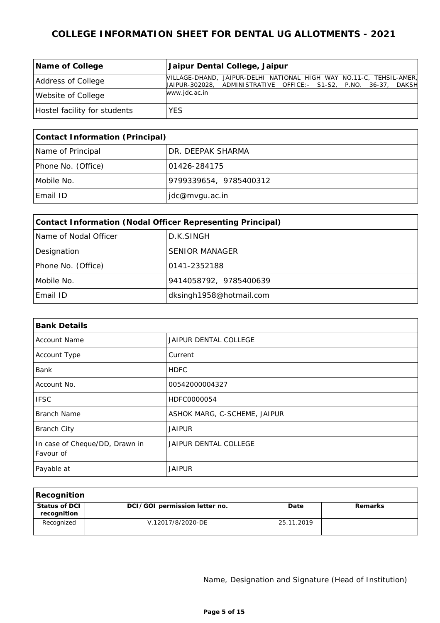| Name of College              | Jaipur Dental College, Jaipur                                                                                                           |
|------------------------------|-----------------------------------------------------------------------------------------------------------------------------------------|
| Address of College           | MILLAGE-DHAND, JAIPUR-DELHI NATIONAL HIGH WAY NO.11-C, TEHSIL-AMER,<br>UAIPUR-302028, ADMINISTRATIVE OFFICE:- S1-S2, P.NO. 36-37, DAKSH |
| Website of College           | www.jdc.ac.in                                                                                                                           |
| Hostel facility for students | YES.                                                                                                                                    |

| Contact Information (Principal) |                        |  |
|---------------------------------|------------------------|--|
| Name of Principal               | DR. DEEPAK SHARMA      |  |
| Phone No. (Office)              | 101426-284175          |  |
| Mobile No.                      | 9799339654, 9785400312 |  |
| Email ID                        | jdc@mvgu.ac.in         |  |

| Contact Information (Nodal Officer Representing Principal) |                         |  |
|------------------------------------------------------------|-------------------------|--|
| Name of Nodal Officer                                      | D.K.SINGH               |  |
| Designation                                                | <b>SENIOR MANAGER</b>   |  |
| Phone No. (Office)                                         | 0141-2352188            |  |
| Mobile No.                                                 | 9414058792, 9785400639  |  |
| Email ID                                                   | dksingh1958@hotmail.com |  |

| <b>Bank Details</b>                         |                              |
|---------------------------------------------|------------------------------|
| <b>Account Name</b>                         | JAIPUR DENTAL COLLEGE        |
| Account Type                                | Current                      |
| Bank                                        | <b>HDFC</b>                  |
| Account No.                                 | 00542000004327               |
| <b>IFSC</b>                                 | HDFC0000054                  |
| <b>Branch Name</b>                          | ASHOK MARG, C-SCHEME, JAIPUR |
| <b>Branch City</b>                          | <b>JAIPUR</b>                |
| In case of Cheque/DD, Drawn in<br>Favour of | <b>JAIPUR DENTAL COLLEGE</b> |
| Payable at                                  | <b>JAIPUR</b>                |

| Recognition                  |                               |            |         |
|------------------------------|-------------------------------|------------|---------|
| Status of DCI<br>recognition | DCI/GOI permission letter no. | Date       | Remarks |
| Recognized                   | V.12017/8/2020-DE             | 25.11.2019 |         |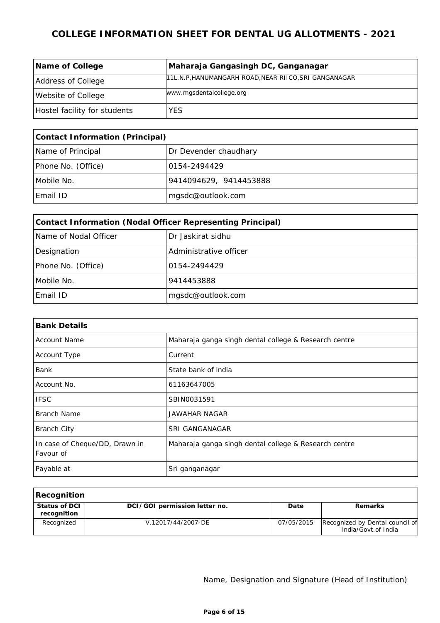| Name of College              | Maharaja Gangasingh DC, Ganganagar                   |
|------------------------------|------------------------------------------------------|
| Address of College           | 11L.N.P.HANUMANGARH ROAD, NEAR RIICO, SRI GANGANAGAR |
| Website of College           | www.mgsdentalcollege.org                             |
| Hostel facility for students | <b>YES</b>                                           |

| Contact Information (Principal) |                        |  |
|---------------------------------|------------------------|--|
| Name of Principal               | Dr Devender chaudhary  |  |
| Phone No. (Office)              | 10154-2494429          |  |
| Mobile No.                      | 9414094629, 9414453888 |  |
| Email ID                        | mgsdc@outlook.com      |  |

| Contact Information (Nodal Officer Representing Principal) |                        |  |
|------------------------------------------------------------|------------------------|--|
| Name of Nodal Officer                                      | Dr Jaskirat sidhu      |  |
| Designation                                                | Administrative officer |  |
| Phone No. (Office)                                         | 0154-2494429           |  |
| Mobile No.                                                 | 9414453888             |  |
| Email ID                                                   | mgsdc@outlook.com      |  |

| <b>Bank Details</b>                         |                                                       |
|---------------------------------------------|-------------------------------------------------------|
| <b>Account Name</b>                         | Maharaja ganga singh dental college & Research centre |
| Account Type                                | Current                                               |
| Bank                                        | State bank of india                                   |
| Account No.                                 | 61163647005                                           |
| <b>IFSC</b>                                 | SBIN0031591                                           |
| <b>Branch Name</b>                          | <b>JAWAHAR NAGAR</b>                                  |
| <b>Branch City</b>                          | <b>SRI GANGANAGAR</b>                                 |
| In case of Cheque/DD, Drawn in<br>Favour of | Maharaja ganga singh dental college & Research centre |
| Payable at                                  | Sri ganganagar                                        |

| Recognition                  |                               |            |                                                        |
|------------------------------|-------------------------------|------------|--------------------------------------------------------|
| Status of DCI<br>recognition | DCI/GOI permission letter no. | Date       | <b>Remarks</b>                                         |
| Recognized                   | V.12017/44/2007-DE            | 07/05/2015 | Recognized by Dental council of<br>India/Govt.of India |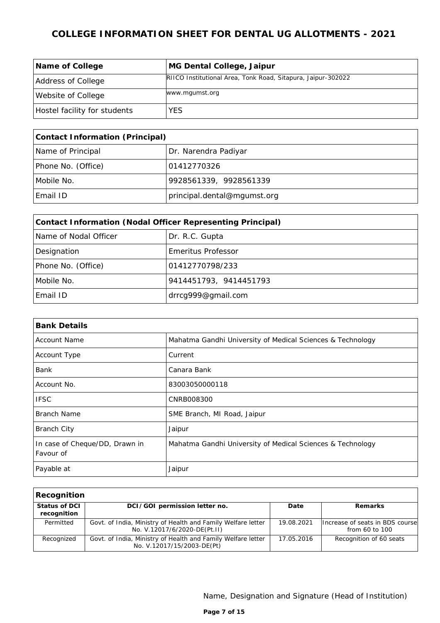| Name of College              | MG Dental College, Jaipur                                    |
|------------------------------|--------------------------------------------------------------|
| Address of College           | RIICO Institutional Area, Tonk Road, Sitapura, Jaipur-302022 |
| Website of College           | www.mgumst.org                                               |
| Hostel facility for students | <b>YES</b>                                                   |

| Contact Information (Principal) |                             |  |
|---------------------------------|-----------------------------|--|
| Name of Principal               | Dr. Narendra Padiyar        |  |
| Phone No. (Office)              | 101412770326                |  |
| Mobile No.                      | 9928561339, 9928561339      |  |
| Email ID                        | principal.dental@mgumst.org |  |

| Contact Information (Nodal Officer Representing Principal) |                           |  |
|------------------------------------------------------------|---------------------------|--|
| Name of Nodal Officer                                      | Dr. R.C. Gupta            |  |
| Designation                                                | <b>Emeritus Professor</b> |  |
| Phone No. (Office)                                         | 01412770798/233           |  |
| Mobile No.                                                 | 9414451793, 9414451793    |  |
| Email ID                                                   | drrcg999@gmail.com        |  |

| <b>Bank Details</b>                         |                                                            |
|---------------------------------------------|------------------------------------------------------------|
| <b>Account Name</b>                         | Mahatma Gandhi University of Medical Sciences & Technology |
| Account Type                                | Current                                                    |
| Bank                                        | Canara Bank                                                |
| Account No.                                 | 83003050000118                                             |
| <b>IFSC</b>                                 | CNRB008300                                                 |
| Branch Name                                 | SME Branch, MI Road, Jaipur                                |
| <b>Branch City</b>                          | Jaipur                                                     |
| In case of Cheque/DD, Drawn in<br>Favour of | Mahatma Gandhi University of Medical Sciences & Technology |
| Payable at                                  | Jaipur                                                     |

| Recognition                  |                                                                                              |            |                                                   |
|------------------------------|----------------------------------------------------------------------------------------------|------------|---------------------------------------------------|
| Status of DCI<br>recognition | DCI/GOI permission letter no.                                                                | Date       | Remarks                                           |
| Permitted                    | Govt. of India, Ministry of Health and Family Welfare letter<br>No. V.12017/6/2020-DE(Pt.II) | 19.08.2021 | Increase of seats in BDS course<br>from 60 to 100 |
| Recognized                   | Govt. of India, Ministry of Health and Family Welfare letter<br>No. V.12017/15/2003-DE(Pt)   | 17.05.2016 | Recognition of 60 seats                           |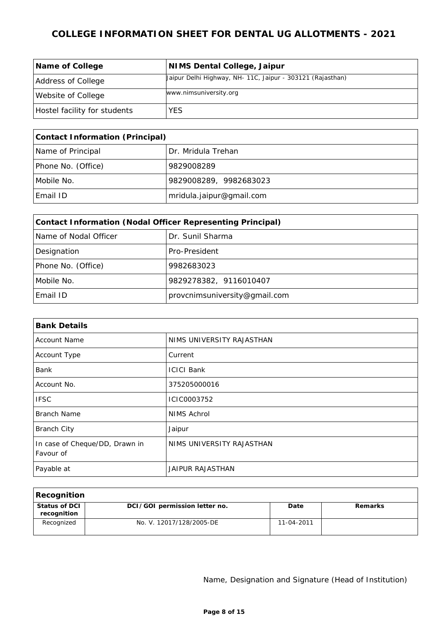| Name of College              | NIMS Dental College, Jaipur                                |
|------------------------------|------------------------------------------------------------|
| Address of College           | Jaipur Delhi Highway, NH- 11C, Jaipur - 303121 (Rajasthan) |
| Website of College           | www.nimsuniversity.org                                     |
| Hostel facility for students | <b>YES</b>                                                 |

| Contact Information (Principal) |                          |
|---------------------------------|--------------------------|
| Name of Principal               | Dr. Mridula Trehan       |
| Phone No. (Office)              | 9829008289               |
| Mobile No.                      | 9829008289, 9982683023   |
| Email ID                        | mridula.jaipur@gmail.com |

| Contact Information (Nodal Officer Representing Principal) |                               |  |
|------------------------------------------------------------|-------------------------------|--|
| Name of Nodal Officer                                      | Dr. Sunil Sharma              |  |
| Designation                                                | Pro-President                 |  |
| Phone No. (Office)                                         | 9982683023                    |  |
| Mobile No.                                                 | 9829278382, 9116010407        |  |
| Email ID                                                   | provcnimsuniversity@gmail.com |  |

| <b>Bank Details</b>                         |                           |  |
|---------------------------------------------|---------------------------|--|
| <b>Account Name</b>                         | NIMS UNIVERSITY RAJASTHAN |  |
| Account Type                                | Current                   |  |
| Bank                                        | <b>ICICI Bank</b>         |  |
| Account No.                                 | 375205000016              |  |
| <b>IFSC</b>                                 | ICIC0003752               |  |
| <b>Branch Name</b>                          | NIMS Achrol               |  |
| <b>Branch City</b>                          | Jaipur                    |  |
| In case of Cheque/DD, Drawn in<br>Favour of | NIMS UNIVERSITY RAJASTHAN |  |
| Payable at                                  | JAIPUR RAJASTHAN          |  |

| Recognition                  |                               |            |         |
|------------------------------|-------------------------------|------------|---------|
| Status of DCI<br>recognition | DCI/GOI permission letter no. | Date       | Remarks |
| Recognized                   | No. V. 12017/128/2005-DE      | 11-04-2011 |         |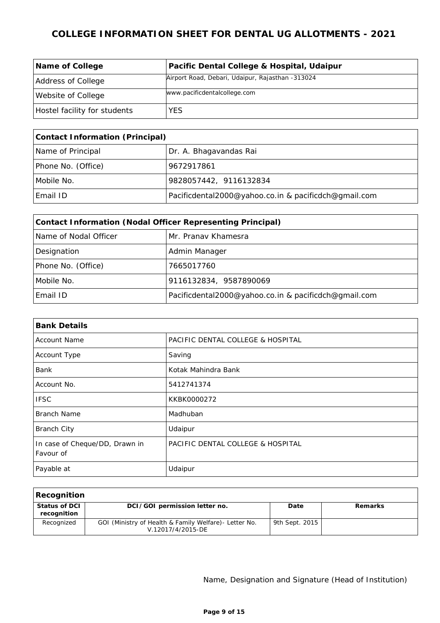| Name of College              | Pacific Dental College & Hospital, Udaipur       |
|------------------------------|--------------------------------------------------|
| Address of College           | Airport Road, Debari, Udaipur, Rajasthan -313024 |
| Website of College           | www.pacificdentalcollege.com                     |
| Hostel facility for students | <b>YES</b>                                       |

| Contact Information (Principal) |                                                      |  |
|---------------------------------|------------------------------------------------------|--|
| Name of Principal               | Dr. A. Bhagavandas Rai                               |  |
| Phone No. (Office)              | 9672917861                                           |  |
| Mobile No.                      | 9828057442, 9116132834                               |  |
| Email ID                        | Pacificdental2000@yahoo.co.in & pacificdch@gmail.com |  |

| Contact Information (Nodal Officer Representing Principal) |                                                      |  |
|------------------------------------------------------------|------------------------------------------------------|--|
| Name of Nodal Officer                                      | IMr. Pranav Khamesra                                 |  |
| Designation                                                | Admin Manager                                        |  |
| Phone No. (Office)                                         | 7665017760                                           |  |
| Mobile No.                                                 | 9116132834, 9587890069                               |  |
| Email ID                                                   | Pacificdental2000@yahoo.co.in & pacificdch@gmail.com |  |

| <b>Bank Details</b>                         |                                   |
|---------------------------------------------|-----------------------------------|
| <b>Account Name</b>                         | PACIFIC DENTAL COLLEGE & HOSPITAL |
| Account Type                                | Saving                            |
| Bank                                        | Kotak Mahindra Bank               |
| Account No.                                 | 5412741374                        |
| <b>IFSC</b>                                 | KKBK0000272                       |
| Branch Name                                 | Madhuban                          |
| <b>Branch City</b>                          | Udaipur                           |
| In case of Cheque/DD, Drawn in<br>Favour of | PACIFIC DENTAL COLLEGE & HOSPITAL |
| Payable at                                  | Udaipur                           |

| Recognition                  |                                                                             |                |         |
|------------------------------|-----------------------------------------------------------------------------|----------------|---------|
| Status of DCI<br>recognition | DCI/GOI permission letter no.                                               | Date           | Remarks |
| Recognized                   | GOI (Ministry of Health & Family Welfare) - Letter No.<br>V.12017/4/2015-DE | 9th Sept. 2015 |         |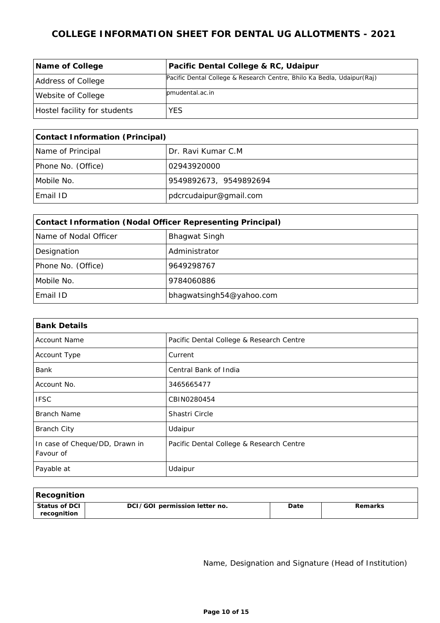| Name of College              | Pacific Dental College & RC, Udaipur                                   |
|------------------------------|------------------------------------------------------------------------|
| Address of College           | Pacific Dental College & Research Centre, Bhilo Ka Bedla, Udaipur(Raj) |
| Website of College           | lomudental.ac.in                                                       |
| Hostel facility for students | YES                                                                    |

| Contact Information (Principal) |                        |
|---------------------------------|------------------------|
| Name of Principal               | Dr. Ravi Kumar C.M.    |
| Phone No. (Office)              | 02943920000            |
| Mobile No.                      | 9549892673, 9549892694 |
| Email ID                        | pdcrcudaipur@gmail.com |

| Contact Information (Nodal Officer Representing Principal) |                          |  |
|------------------------------------------------------------|--------------------------|--|
| Name of Nodal Officer                                      | <b>Bhagwat Singh</b>     |  |
| Designation                                                | Administrator            |  |
| Phone No. (Office)                                         | 9649298767               |  |
| Mobile No.                                                 | 9784060886               |  |
| Email ID                                                   | bhagwatsingh54@yahoo.com |  |

| <b>Bank Details</b>                         |                                          |  |
|---------------------------------------------|------------------------------------------|--|
| <b>Account Name</b>                         | Pacific Dental College & Research Centre |  |
| Account Type                                | Current                                  |  |
| Bank                                        | Central Bank of India                    |  |
| Account No.                                 | 3465665477                               |  |
| <b>IFSC</b>                                 | CBIN0280454                              |  |
| Branch Name                                 | Shastri Circle                           |  |
| <b>Branch City</b>                          | Udaipur                                  |  |
| In case of Cheque/DD, Drawn in<br>Favour of | Pacific Dental College & Research Centre |  |
| Payable at                                  | Udaipur                                  |  |

| Recognition                    |                               |      |         |
|--------------------------------|-------------------------------|------|---------|
| l Status of DCI<br>recognition | DCI/GOI permission letter no. | Date | Remarks |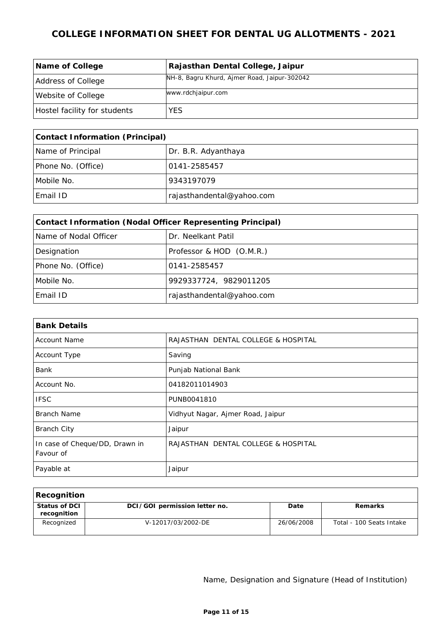| Name of College              | Rajasthan Dental College, Jaipur             |
|------------------------------|----------------------------------------------|
| Address of College           | NH-8, Bagru Khurd, Ajmer Road, Jaipur-302042 |
| Website of College           | www.rdchjaipur.com                           |
| Hostel facility for students | YES                                          |

| Contact Information (Principal)          |                           |  |
|------------------------------------------|---------------------------|--|
| Name of Principal<br>Dr. B.R. Adyanthaya |                           |  |
| Phone No. (Office)                       | 0141-2585457              |  |
| Mobile No.                               | 9343197079                |  |
| Email ID                                 | rajasthandental@yahoo.com |  |

| Contact Information (Nodal Officer Representing Principal) |                           |  |  |
|------------------------------------------------------------|---------------------------|--|--|
| Name of Nodal Officer                                      | Dr. Neelkant Patil        |  |  |
| Designation                                                | Professor & HOD (O.M.R.)  |  |  |
| Phone No. (Office)                                         | 0141-2585457              |  |  |
| Mobile No.                                                 | 9929337724, 9829011205    |  |  |
| Email ID                                                   | rajasthandental@yahoo.com |  |  |

| <b>Bank Details</b>                         |                                     |  |
|---------------------------------------------|-------------------------------------|--|
| <b>Account Name</b>                         | RAJASTHAN DENTAL COLLEGE & HOSPITAL |  |
| Account Type                                | Saving                              |  |
| <b>Bank</b>                                 | Punjab National Bank                |  |
| Account No.                                 | 04182011014903                      |  |
| <b>IFSC</b>                                 | PUNB0041810                         |  |
| <b>Branch Name</b>                          | Vidhyut Nagar, Ajmer Road, Jaipur   |  |
| <b>Branch City</b>                          | Jaipur                              |  |
| In case of Cheque/DD, Drawn in<br>Favour of | RAJASTHAN DENTAL COLLEGE & HOSPITAL |  |
| Payable at                                  | Jaipur                              |  |

| Recognition                    |                               |            |                          |
|--------------------------------|-------------------------------|------------|--------------------------|
| ' Status of DCI<br>recognition | DCI/GOI permission letter no. | Date       | Remarks                  |
| Recognized                     | V-12017/03/2002-DE            | 26/06/2008 | Total - 100 Seats Intake |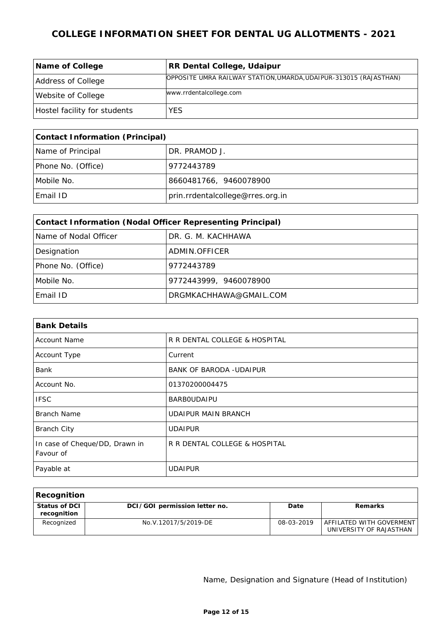| Name of College              | RR Dental College, Udaipur                                        |
|------------------------------|-------------------------------------------------------------------|
| Address of College           | OPPOSITE UMRA RAILWAY STATION, UMARDA, UDAIPUR-313015 (RAJASTHAN) |
| Website of College           | www.rrdentalcollege.com                                           |
| Hostel facility for students | YES.                                                              |

| Contact Information (Principal) |                                  |  |
|---------------------------------|----------------------------------|--|
| Name of Principal               | DR. PRAMOD J.                    |  |
| Phone No. (Office)              | 9772443789                       |  |
| Mobile No.                      | 8660481766, 9460078900           |  |
| Email ID                        | prin.rrdentalcollege@rres.org.in |  |

| Contact Information (Nodal Officer Representing Principal) |                        |  |  |
|------------------------------------------------------------|------------------------|--|--|
| Name of Nodal Officer                                      | DR. G. M. KACHHAWA     |  |  |
| Designation                                                | ADMIN.OFFICER          |  |  |
| Phone No. (Office)                                         | 9772443789             |  |  |
| Mobile No.                                                 | 9772443999, 9460078900 |  |  |
| Email ID                                                   | DRGMKACHHAWA@GMAIL.COM |  |  |

| <b>Bank Details</b>                         |                                |  |
|---------------------------------------------|--------------------------------|--|
| <b>Account Name</b>                         | R R DENTAL COLLEGE & HOSPITAL  |  |
| Account Type                                | Current                        |  |
| <b>Bank</b>                                 | <b>BANK OF BARODA -UDAIPUR</b> |  |
| Account No.                                 | 01370200004475                 |  |
| <b>IFSC</b>                                 | <b>BARBOUDAIPU</b>             |  |
| <b>Branch Name</b>                          | <b>UDAIPUR MAIN BRANCH</b>     |  |
| <b>Branch City</b>                          | <b>UDAIPUR</b>                 |  |
| In case of Cheque/DD, Drawn in<br>Favour of | R R DENTAL COLLEGE & HOSPITAL  |  |
| Payable at                                  | <b>UDAIPUR</b>                 |  |

| Recognition                  |                               |            |                                                     |
|------------------------------|-------------------------------|------------|-----------------------------------------------------|
| Status of DCI<br>recognition | DCI/GOI permission letter no. | Date       | <b>Remarks</b>                                      |
| Recognized                   | No.V.12017/5/2019-DE          | 08-03-2019 | AFFILATED WITH GOVERMENT<br>UNIVERSITY OF RAJASTHAN |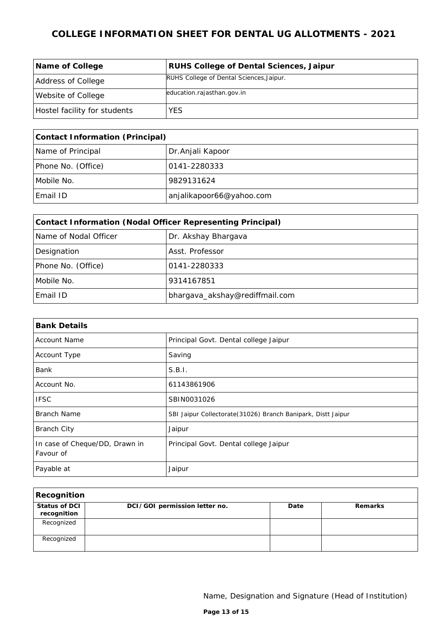| Name of College              | RUHS College of Dental Sciences, Jaipur  |
|------------------------------|------------------------------------------|
| Address of College           | RUHS College of Dental Sciences, Jaipur. |
| Website of College           | education.rajasthan.gov.in               |
| Hostel facility for students | <b>YES</b>                               |

| Contact Information (Principal) |                          |  |
|---------------------------------|--------------------------|--|
| Name of Principal               | Dr. Anjali Kapoor        |  |
| Phone No. (Office)              | 10141-2280333            |  |
| Mobile No.                      | 9829131624               |  |
| Email ID                        | anjalikapoor66@yahoo.com |  |

| Contact Information (Nodal Officer Representing Principal) |                                |  |
|------------------------------------------------------------|--------------------------------|--|
| Name of Nodal Officer                                      | Dr. Akshay Bhargava            |  |
| Designation                                                | Asst. Professor                |  |
| Phone No. (Office)                                         | 0141-2280333                   |  |
| Mobile No.                                                 | 9314167851                     |  |
| Email ID                                                   | bhargava_akshay@rediffmail.com |  |

| <b>Bank Details</b>                         |                                                               |  |
|---------------------------------------------|---------------------------------------------------------------|--|
| <b>Account Name</b>                         | Principal Govt. Dental college Jaipur                         |  |
| Account Type                                | Saving                                                        |  |
| Bank                                        | S.B.1.                                                        |  |
| Account No.                                 | 61143861906                                                   |  |
| <b>IFSC</b>                                 | SBIN0031026                                                   |  |
| <b>Branch Name</b>                          | SBI Jaipur Collectorate (31026) Branch Banipark, Distt Jaipur |  |
| <b>Branch City</b>                          | Jaipur                                                        |  |
| In case of Cheque/DD, Drawn in<br>Favour of | Principal Govt. Dental college Jaipur                         |  |
| Payable at                                  | Jaipur                                                        |  |

| Recognition                  |                               |      |         |
|------------------------------|-------------------------------|------|---------|
| Status of DCI<br>recognition | DCI/GOI permission letter no. | Date | Remarks |
| Recognized                   |                               |      |         |
| Recognized                   |                               |      |         |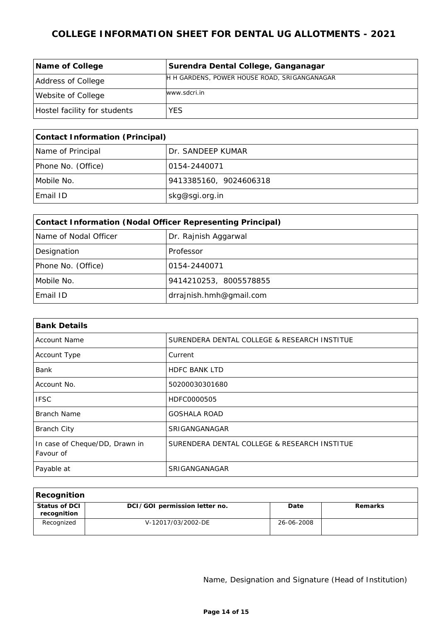| Name of College              | Surendra Dental College, Ganganagar          |
|------------------------------|----------------------------------------------|
| Address of College           | H H GARDENS, POWER HOUSE ROAD, SRIGANGANAGAR |
| Website of College           | www.sdcri.in                                 |
| Hostel facility for students | <b>YES</b>                                   |

| Contact Information (Principal) |                        |  |
|---------------------------------|------------------------|--|
| Name of Principal               | Dr. SANDEEP KUMAR      |  |
| Phone No. (Office)              | 10154-2440071          |  |
| Mobile No.                      | 9413385160, 9024606318 |  |
| Email ID                        | skg@sgi.org.in         |  |

| Contact Information (Nodal Officer Representing Principal) |                         |  |
|------------------------------------------------------------|-------------------------|--|
| Name of Nodal Officer                                      | Dr. Rajnish Aggarwal    |  |
| Designation                                                | Professor               |  |
| Phone No. (Office)                                         | 0154-2440071            |  |
| Mobile No.                                                 | 9414210253, 8005578855  |  |
| Email ID                                                   | drrajnish.hmh@gmail.com |  |

| <b>Bank Details</b>                         |                                              |
|---------------------------------------------|----------------------------------------------|
| <b>Account Name</b>                         | SURENDERA DENTAL COLLEGE & RESEARCH INSTITUE |
| Account Type                                | Current                                      |
| <b>Bank</b>                                 | <b>HDFC BANK LTD</b>                         |
| Account No.                                 | 50200030301680                               |
| <b>IFSC</b>                                 | HDFC0000505                                  |
| Branch Name                                 | <b>GOSHALA ROAD</b>                          |
| <b>Branch City</b>                          | SRIGANGANAGAR                                |
| In case of Cheque/DD, Drawn in<br>Favour of | SURENDERA DENTAL COLLEGE & RESEARCH INSTITUE |
| Payable at                                  | SRIGANGANAGAR                                |

| Recognition                  |                               |            |         |
|------------------------------|-------------------------------|------------|---------|
| Status of DCI<br>recognition | DCI/GOI permission letter no. | Date       | Remarks |
| Recognized                   | V-12017/03/2002-DE            | 26-06-2008 |         |